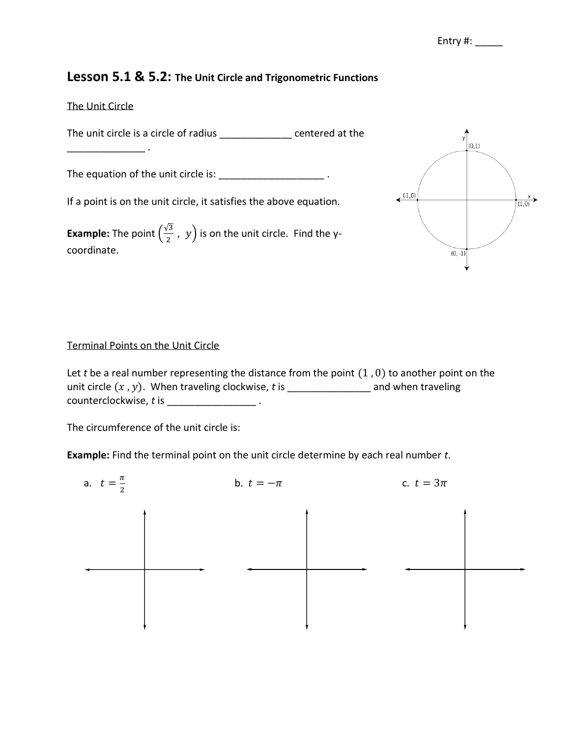## **Lesson 5.1 & 5.2: The Unit Circle and Trigonometric Functions**

## The Unit Circle

\_\_\_\_\_\_\_\_\_\_\_\_\_\_ .

The unit circle is a circle of radius entered at the

The equation of the unit circle is: \_\_\_\_\_\_\_\_\_\_\_\_\_\_\_\_\_\_\_\_\_\_\_\_.

If a point is on the unit circle, it satisfies the above equation.

**Example:** The point  $\left(\frac{\sqrt{3}}{2}\right)$  $\frac{1}{2}$  ,  $y$  is on the unit circle. Find the ycoordinate.



## Terminal Points on the Unit Circle

Let *t* be a real number representing the distance from the point  $(1, 0)$  to another point on the unit circle  $(x, y)$ . When traveling clockwise,  $t$  is  $\frac{y}{x}$  and when traveling counterclockwise, *t* is  $\cdot$  .

The circumference of the unit circle is:

**Example:** Find the terminal point on the unit circle determine by each real number *t*.

| a. $t = \frac{\pi}{2}$ | b. $t=-\pi$ |  |  | c. $t = 3\pi$ |  |  |
|------------------------|-------------|--|--|---------------|--|--|
|                        |             |  |  |               |  |  |
|                        |             |  |  |               |  |  |
|                        |             |  |  |               |  |  |
|                        |             |  |  |               |  |  |
|                        |             |  |  |               |  |  |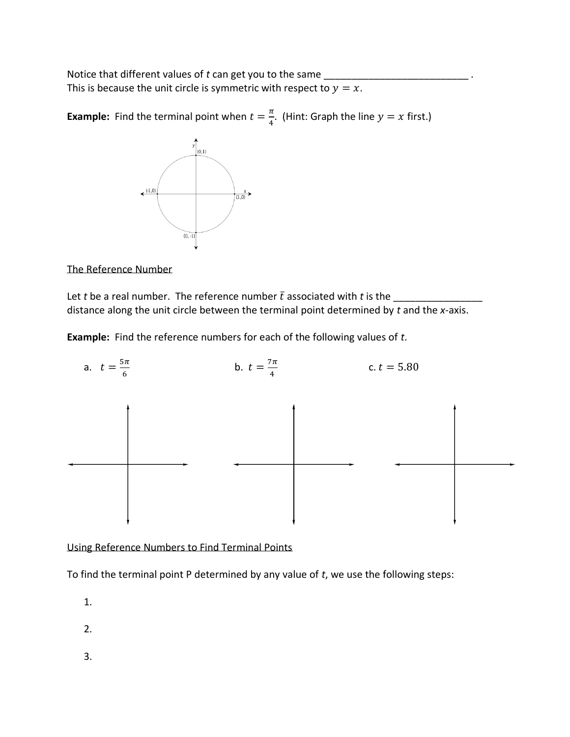Notice that different values of *t* can get you to the same \_ This is because the unit circle is symmetric with respect to  $y = x$ .

**Example:** Find the terminal point when  $t = \frac{\pi}{4}$  $\frac{\pi}{4}$ . (Hint: Graph the line  $y = x$  first.)



The Reference Number

Let *t* be a real number. The reference number ̅associated with *t* is the \_\_\_\_\_\_\_\_\_\_\_\_\_\_\_\_ distance along the unit circle between the terminal point determined by *t* and the *x*-axis.

**Example:** Find the reference numbers for each of the following values of *t*.



Using Reference Numbers to Find Terminal Points

To find the terminal point P determined by any value of *t*, we use the following steps:

1.

2.

3.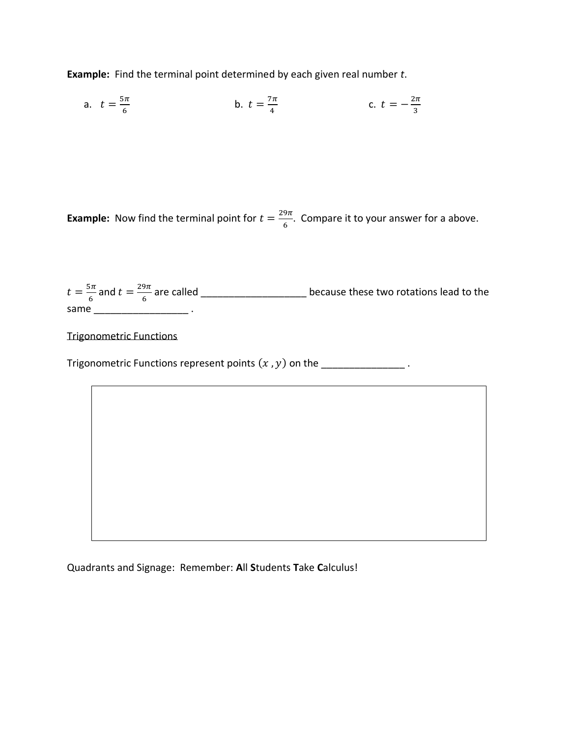**Example:** Find the terminal point determined by each given real number *t*.

a. 
$$
t = \frac{5\pi}{6}
$$
 \t\t b.  $t = \frac{7\pi}{4}$  \t\t c.  $t = -\frac{2\pi}{3}$ 

**Example:** Now find the terminal point for  $t = \frac{29\pi}{6}$  $\frac{5\pi}{6}$ . Compare it to your answer for a above.

| $t=\frac{5\pi}{6}$ and $t=\frac{29\pi}{6}$ are called | because these two rotations lead to the |  |
|-------------------------------------------------------|-----------------------------------------|--|
| same                                                  |                                         |  |

Trigonometric Functions

Trigonometric Functions represent points  $(x, y)$  on the  $\frac{y}{x-1}$ .

Quadrants and Signage: Remember: **A**ll **S**tudents **T**ake **C**alculus!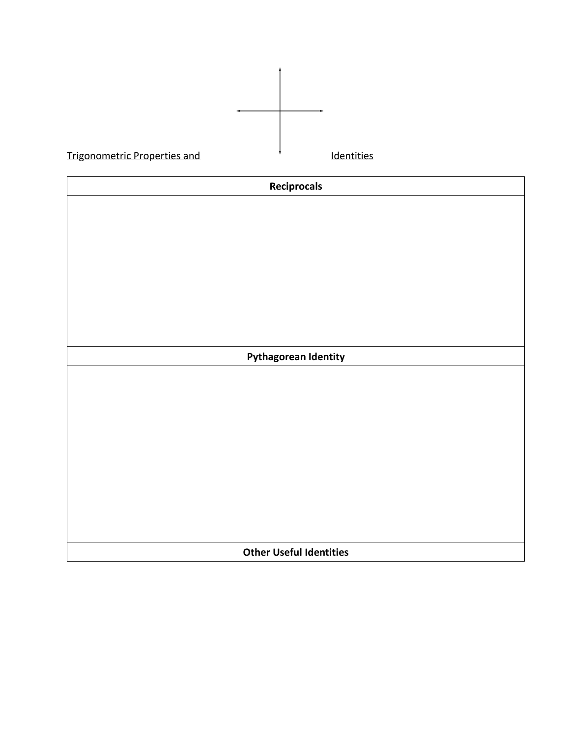| <b>Trigonometric Properties and</b> | Identities |  |  |  |  |  |
|-------------------------------------|------------|--|--|--|--|--|
| Reciprocals                         |            |  |  |  |  |  |
|                                     |            |  |  |  |  |  |
|                                     |            |  |  |  |  |  |
|                                     |            |  |  |  |  |  |
|                                     |            |  |  |  |  |  |
|                                     |            |  |  |  |  |  |
|                                     |            |  |  |  |  |  |
| <b>Pythagorean Identity</b>         |            |  |  |  |  |  |
|                                     |            |  |  |  |  |  |
|                                     |            |  |  |  |  |  |
|                                     |            |  |  |  |  |  |
|                                     |            |  |  |  |  |  |
|                                     |            |  |  |  |  |  |
|                                     |            |  |  |  |  |  |
|                                     |            |  |  |  |  |  |
|                                     |            |  |  |  |  |  |
| <b>Other Useful Identities</b>      |            |  |  |  |  |  |